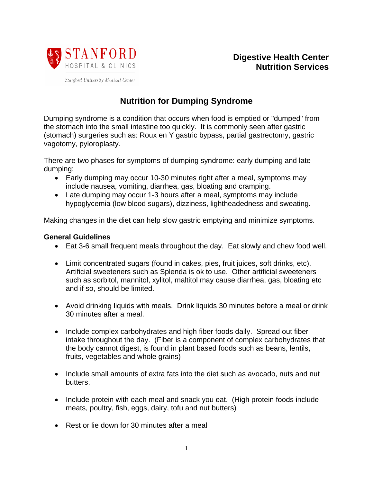

**Digestive Health Center Nutrition Services**

## **Nutrition for Dumping Syndrome**

Dumping syndrome is a condition that occurs when food is emptied or "dumped" from the stomach into the small intestine too quickly. It is commonly seen after gastric (stomach) surgeries such as: Roux en Y gastric bypass, partial gastrectomy, gastric vagotomy, pyloroplasty.

There are two phases for symptoms of dumping syndrome: early dumping and late dumping:

- Early dumping may occur 10-30 minutes right after a meal, symptoms may include nausea, vomiting, diarrhea, gas, bloating and cramping.
- Late dumping may occur 1-3 hours after a meal, symptoms may include hypoglycemia (low blood sugars), dizziness, lightheadedness and sweating.

Making changes in the diet can help slow gastric emptying and minimize symptoms.

## **General Guidelines**

- Eat 3-6 small frequent meals throughout the day. Eat slowly and chew food well.
- Limit concentrated sugars (found in cakes, pies, fruit juices, soft drinks, etc). Artificial sweeteners such as Splenda is ok to use. Other artificial sweeteners such as sorbitol, mannitol, xylitol, maltitol may cause diarrhea, gas, bloating etc and if so, should be limited.
- Avoid drinking liquids with meals. Drink liquids 30 minutes before a meal or drink 30 minutes after a meal.
- Include complex carbohydrates and high fiber foods daily. Spread out fiber intake throughout the day. (Fiber is a component of complex carbohydrates that the body cannot digest, is found in plant based foods such as beans, lentils, fruits, vegetables and whole grains)
- Include small amounts of extra fats into the diet such as avocado, nuts and nut butters.
- Include protein with each meal and snack you eat. (High protein foods include meats, poultry, fish, eggs, dairy, tofu and nut butters)
- Rest or lie down for 30 minutes after a meal